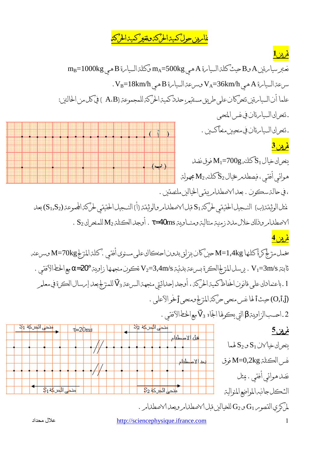## <mark>غامرين حول كميت<sub>ا</sub>لحركة وتغير كميت<sub>ا</sub>لحركة</mark>

## $1$ غرين

نعنبر سيام ةبن A مع B حيث كلة السيامة A هي m<sub>A</sub>=500kg وكلة السيامة B هي mB=1000kg سرعة السيامة A هي VA=36km/h مسرعة السيامة B هي VB=18km/h. علما أن السيامرةين تنحركان على طريق مسنقيمر؛ حدد كميترالحركة للمجموعة ( A،B ) في كل من الحالنين: ـ تنحرك السيامرةان في نفس المنحى ـ تنحرك السيامرةان في منحيين منعاكسين . <mark>غرين 3</mark> ينحرك خيال  $\rm \,S_{1}$ كتلنه 200gسكو فوق نضل  $(\rightarrow)$ هوائي أفقيي، فيصطلهر خيال 32كلند M2 مجهولتر ، في حالة سكون . بعد الاصطدامريبقي الخيالين ملنصقين . غثل الوثيقتراب) النسجيل الحقيقي لحركتن S1 قبل الاصطلاامر والوثيقتر (أ) النسجيل الحقيقي لحركت المجموعتر (S1,S2) بعد . S2 مطلمامر وذلك خلال ملاز زمنيتر منتاليتر ومنساويتر t=40ms . أوجد الكنلتر M2 للمنحرك S2 . غرين 4 يخمل منز لج كرة كنلنها M=1,4kg حين كان ينزلق بدون احنكاك على مسنوى أفقي . كنلة المنز لج M=70kg وسرعنه ثابنة V1=3m/s . يرسل المزلج الكرة بسرعة بدئية V2=3,4m/s تكون منجهنها زاوية 20°N مع الخط الأفقى . 1 ـ باعنمادك على قانون الخفاظ كميترالحركتر ، أوجد إحداثيتي منجهترالسرعتر 3 كاللمنز لج بعد إمرسال الكرة في معلمر (O,İ,j) حيث ألها نفس منحى حركت<sub>ا ل</sub>لزلج ومنحى أخو الأعلى . 2.احسب الزاوية βالتي يكوفا الجاه 73 مع الخطالأفقى .